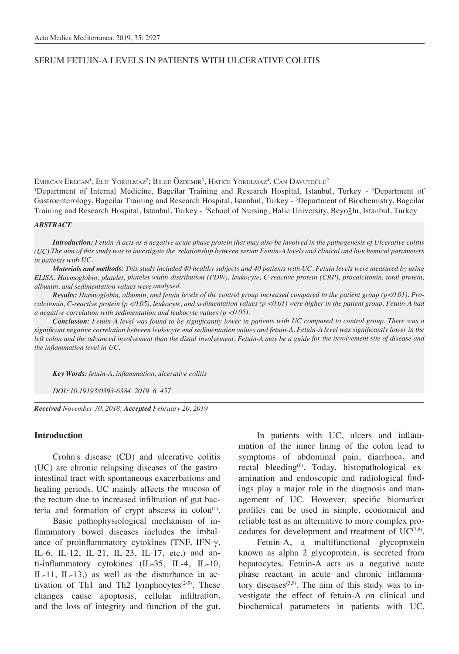# SERUM FETUIN-A LEVELS IN PATIENTS WITH ULCERATIVE COLITIS

Emircan Erecan<sup>1</sup>, Elif Yorulmaz<sup>2</sup>; Bilge Özdemir<sup>3</sup>, Hatice Yorulmaz<sup>4</sup>, Can Davutoğlu<sup>2</sup>

<sup>1</sup>Department of Internal Medicine, Bagcilar Training and Research Hospital, Istanbul, Turkey - <sup>2</sup>Department of Gastroenterology, Bagcilar Training and Research Hospital, Istanbul, Turkey - <sup>3</sup>Department of Biochemistry, Bagcilar Training and Research Hospital, Istanbul, Turkey - 4 School of Nursing, Halic University, Beyoğlu, Istanbul, Turkey

#### *ABSTRACT*

*Introduction: Fetuin-A acts as a negative acute phase protein that may also be involved in the pathogenesis of Ulcerative colitis (UC).The aim of this study was to investigate the relationship between serum Fetuin-A levels and clinical and biochemical parameters in patients with UC.*

*Materials and methods: This study included 40 healthy subjects and 40 patients with UC. Fetuin levels were measured by using ELISA. Haemoglobin, platelet, platelet width distribution (PDW), leukocyte, C-reactive protein (CRP), procalcitonin, total protein, albumin, and sedimentation values were analysed.*

*Results: Haemoglobin, albumin, and fetuin levels of the control group increased compared to the patient group (p<0.01). Procalcitonin, C-reactive protein (p <0.05), leukocyte, and sedimentation values (p <0.01) were higher in the patient group. Fetuin-A had a negative correlation with sedimentation and leukocyte values (p <0.05).* 

*Conclusion: Fetuin-A level was found to be significantly lower in patients with UC compared to control group. There was a significant negative correlation between leukocyte and sedimentation values and fetuin-A. Fetuin-A level was significantly lower in the left colon and the advanced involvement than the distal involvement. Fetuin-A may be a guide for the involvement site of disease and the inflammation level in UC.*

*Key Words: fetuin-A, inflammation, ulcerative colitis* 

*DOI: 10.19193/0393-6384\_2019\_6\_457*

*Received November 30, 2018; Accepted February 20, 2019*

#### **Introduction**

Crohn's disease (CD) and ulcerative colitis (UC) are chronic relapsing diseases of the gastrointestinal tract with spontaneous exacerbations and healing periods. UC mainly affects the mucosa of the rectum due to increased infiltration of gut bacteria and formation of crypt abscess in  $\text{colon}^{(1)}$ .

Basic pathophysiological mechanism of inflammatory bowel diseases includes the imbalance of proinflammatory cytokines (TNF, IFN-γ, IL-6, IL-12, IL-21, IL-23, IL-17, etc.) and anti-inflammatory cytokines (IL-35, IL-4, IL-10, IL-11, IL-13,) as well as the disturbance in activation of Th1 and Th2 lymphocytes $(2-5)$ . These changes cause apoptosis, cellular infiltration, and the loss of integrity and function of the gut.

In patients with UC, ulcers and inflammation of the inner lining of the colon lead to symptoms of abdominal pain, diarrhoea, and rectal bleeding<sup>(6)</sup>. Today, histopathological examination and endoscopic and radiological findings play a major role in the diagnosis and management of UC. However, specific biomarker profiles can be used in simple, economical and reliable test as an alternative to more complex procedures for development and treatment of  $UC^{(7,8)}$ .

Fetuin-A, a multifunctional glycoprotein known as alpha 2 glycoprotein, is secreted from hepatocytes. Fetuin-A acts as a negative acute phase reactant in acute and chronic inflammatory diseases $(3,9)$ . The aim of this study was to investigate the effect of fetuin-A on clinical and biochemical parameters in patients with UC.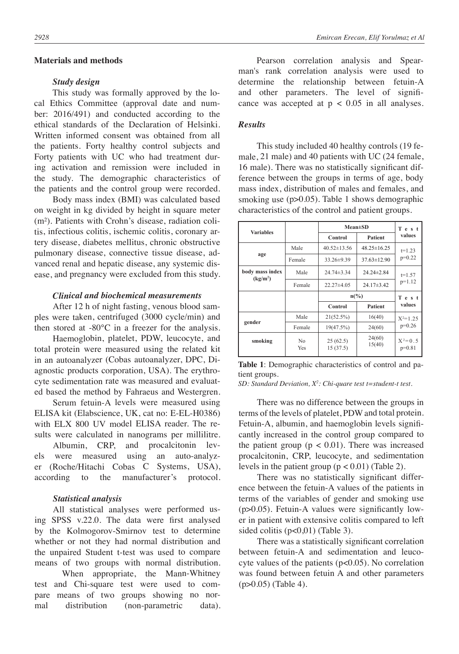### **Materials and methods**

#### *Study design*

This study was formally approved by the local Ethics Committee (approval date and number: 2016/491) and conducted according to the ethical standards of the Declaration of Helsinki. Written informed consent was obtained from all the patients. Forty healthy control subjects and Forty patients with UC who had treatment during activation and remission were included in the study. The demographic characteristics of the patients and the control group were recorded.

Body mass index (BMI) was calculated based on weight in kg divided by height in square meter (m²). Patients with Crohn's disease, radiation colitis, infectious colitis, ischemic colitis, coronary artery disease, diabetes mellitus, chronic obstructive pulmonary disease, connective tissue disease, advanced renal and hepatic disease, any systemic disease, and pregnancy were excluded from this study.

### *Clinical and biochemical measurements*

After 12 h of night fasting, venous blood samples were taken, centrifuged (3000 cycle/min) and then stored at -80℃ in a freezer for the analysis.

Haemoglobin, platelet, PDW, leucocyte, and total protein were measured using the related kit in an autoanalyzer (Cobas autoanalyzer, DPC, Diagnostic products corporation, USA). The erythrocyte sedimentation rate was measured and evaluated based the method by Fahraeus and Westergren.

Serum fetuin-A levels were measured using ELISA kit (Elabscience, UK, cat no: E-EL-H0386) with ELX 800 UV model ELISA reader. The results were calculated in nanograms per millilitre.

Albumin, CRP, and procalcitonin levels were measured using an auto-analyzer (Roche/Hitachi Cobas C Systems, USA), according to the manufacturer's protocol.

#### *Statistical analysis*

All statistical analyses were performed using SPSS v.22.0. The data were first analysed by the Kolmogorov-Smirnov test to determine whether or not they had normal distribution and the unpaired Student t-test was used to compare means of two groups with normal distribution. When appropriate, the Mann-Whitney test and Chi-square test were used to compare means of two groups showing no normal distribution (non-parametric data).

Pearson correlation analysis and Spearman's rank correlation analysis were used to determine the relationship between fetuin-A and other parameters. The level of significance was accepted at  $p < 0.05$  in all analyses.

## *Results*

This study included 40 healthy controls (19 female, 21 male) and 40 patients with UC (24 female, 16 male). There was no statistically significant difference between the groups in terms of age, body mass index, distribution of males and females, and smoking use (p>0.05). Table 1 shows demographic characteristics of the control and patient groups.

| <b>Variables</b>                        |           | $Mean \pm SD$        | Test              |                       |  |
|-----------------------------------------|-----------|----------------------|-------------------|-----------------------|--|
|                                         |           | Control              | Patient           | values                |  |
|                                         | Male      | $40.52 \pm 13.56$    | $48.25 \pm 16.25$ | $t=1.23$              |  |
| age                                     | Female    | $33.26 \pm 9.39$     | $37.63 \pm 12.90$ | $p=0.22$              |  |
| body mass index<br>(kg/m <sup>2</sup> ) | Male      | $24.74 \pm 3.34$     | $24.24 \pm 2.84$  | $t=1.57$              |  |
|                                         | Female    | $22.27\pm4.05$       | $24.17\pm3.42$    | $p=1.12$              |  |
|                                         |           | $n\binom{0}{0}$      |                   | Test                  |  |
|                                         |           | Control              | Patient           | values                |  |
|                                         | Male      | 21(52.5%)            | 16(40)            | $X^2=1.25$            |  |
| gender                                  | Female    | 19(47.5%)            | 24(60)            | $p=0.26$              |  |
| smoking                                 | No<br>Yes | 25(62.5)<br>15(37.5) | 24(60)<br>15(40)  | $X^2=0.5$<br>$p=0.81$ |  |

**Table 1**: Demographic characteristics of control and patient groups.

*SD: Standard Deviation, X2 : Chi-quare test t=student-t test.*

There was no difference between the groups in terms of the levels of platelet, PDW and total protein. Fetuin-A, albumin, and haemoglobin levels significantly increased in the control group compared to the patient group ( $p < 0.01$ ). There was increased procalcitonin, CRP, leucocyte, and sedimentation levels in the patient group  $(p < 0.01)$  (Table 2).

There was no statistically significant difference between the fetuin-A values of the patients in terms of the variables of gender and smoking use (p>0.05). Fetuin-A values were significantly lower in patient with extensive colitis compared to left sided colitis (p<0,01) (Table 3).

There was a statistically significant correlation between fetuin-A and sedimentation and leucocyte values of the patients  $(p<0.05)$ . No correlation was found between fetuin A and other parameters (p>0.05) (Table 4).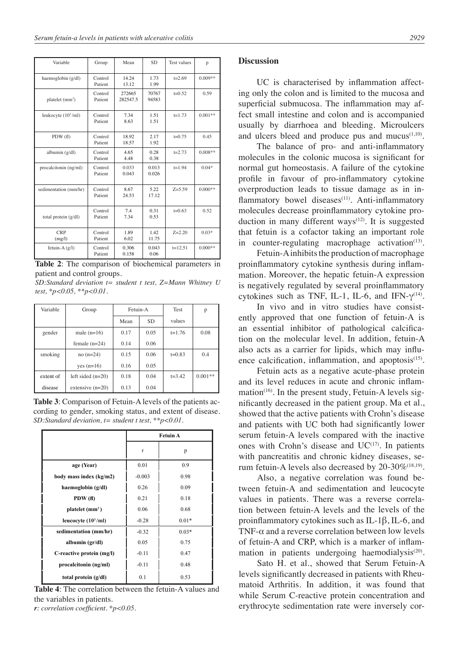| Variable               | Group              | Mean               | SD.            | <b>Test values</b> | p         |
|------------------------|--------------------|--------------------|----------------|--------------------|-----------|
| haemoglobin (g/dl)     | Control<br>Patient | 14.24<br>13.12     | 1.73<br>1.99   | $t = 2.69$         | $0.009**$ |
| platelet $(mm3)$       | Control<br>Patient | 272665<br>282547.5 | 70767<br>94583 | $t=0.52$           | 0.59      |
| leukocyte $(10^3$ /ml) | Control<br>Patient | 7.34<br>8.63       | 1.51<br>1.51   | $t = 1.73$         | $0.001**$ |
| PDW(f)                 | Control<br>Patient | 18.92<br>18.57     | 2.17<br>1.92   | $t=0.75$           | 0.45      |
| albumin $(g/dl)$       | Control<br>Patient | 4.65<br>4.48       | 0.28<br>0.38   | $t = 2.73$         | $0.008**$ |
| procalcitonin (ng/ml)  | Control<br>Patient | 0.033<br>0.043     | 0.013<br>0.026 | $t = 1.94$         | $0.04*$   |
| sedimentation (mm/hr)  | Control<br>Patient | 8.67<br>24.53      | 5.22<br>17.12  | $Z = 5.59$         | $0.000**$ |
| total protein (g/dl)   | Control<br>Patient | 7.4<br>7.34        | 0.31<br>0.53   | $t=0.63$           | 0.52      |
| <b>CRP</b><br>(mg/l)   | Control<br>Patient | 1.89<br>6.02       | 1.42<br>11.75  | $Z = 2.20$         | $0.03*$   |
| fetuin-A $(g/l)$       | Control<br>Patient | 0.306<br>0.158     | 0.043<br>0.06  | $t=12.51$          | $0.000**$ |

**Table 2**: The comparison of biochemical parameters in patient and control groups.

*SD:Standard deviation t= student t test, Z=Mann Whitney U test, \*p<0.05, \*\*p<0.01.* 

| Variable  | Group               | Fetuin-A |           | <b>Test</b> | p         |
|-----------|---------------------|----------|-----------|-------------|-----------|
|           |                     | Mean     | <b>SD</b> | values      |           |
| gender    | male $(n=16)$       | 0.17     | 0.05      | $t = 1.76$  | 0.08      |
|           | female $(n=24)$     | 0.14     | 0.06      |             |           |
| smoking   | $no(n=24)$          | 0.15     | 0.06      | $t=0.83$    | 0.4       |
|           | $yes (n=16)$        | 0.16     | 0.05      |             |           |
| extent of | left sided $(n=20)$ | 0.18     | 0.04      | $t = 3.42$  | $0.001**$ |
| disease   | extensive $(n=20)$  | 0.13     | 0.04      |             |           |

**Table 3**: Comparison of Fetuin-A levels of the patients according to gender, smoking status, and extent of disease. *SD:Standard deviation, t= student t test, \*\*p<0.01.* 

|                           | <b>Fetuin A</b> |         |
|---------------------------|-----------------|---------|
|                           | r               | p       |
| age (Year)                | 0.01            | 0.9     |
| body mass index (kg/m2)   | $-0.003$        | 0.98    |
| haemoglobin (g/dl)        | 0.26            | 0.09    |
| PDW(f)                    | 0.21            | 0.18    |
| platelet $(mm3)$          | 0.06            | 0.68    |
| leucocyte $(10^3$ /ml)    | $-0.28$         | $0.01*$ |
| sedimentation (mm/hr)     | $-0.32$         | $0.03*$ |
| albumin (gr/dl)           | 0.05            | 0.75    |
| C-reactive protein (mg/l) | $-0.11$         | 0.47    |
| procalcitonin (ng/ml)     | $-0.11$         | 0.48    |
| total protein (g/dl)      | 0.1             | 0.53    |

**Table 4**: The correlation between the fetuin-A values and the variables in patients.

*r: correlation coefficient. \*p<0.05.* 

### **Discussion**

UC is characterised by inflammation affecting only the colon and is limited to the mucosa and superficial submucosa. The inflammation may affect small intestine and colon and is accompanied usually by diarrhoea and bleeding. Microulcers and ulcers bleed and produce pus and mucus $(1,10)$ .

The balance of pro- and anti-inflammatory molecules in the colonic mucosa is significant for normal gut homeostasis. A failure of the cytokine profile in favour of pro-inflammatory cytokine overproduction leads to tissue damage as in inflammatory bowel diseases $(11)$ . Anti-inflammatory molecules decrease proinflammatory cytokine production in many different ways<sup> $(12)$ </sup>. It is suggested that fetuin is a cofactor taking an important role in counter-regulating macrophage activation $(13)$ .

Fetuin-A inhibits the production of macrophage proinflammatory cytokine synthesis during inflammation. Moreover, the hepatic fetuin-A expression is negatively regulated by several proinflammatory cytokines such as TNF, IL-1, IL-6, and IFN- $\gamma^{(14)}$ .

In vivo and in vitro studies have consistently approved that one function of fetuin-A is an essential inhibitor of pathological calcification on the molecular level. In addition, fetuin-A also acts as a carrier for lipids, which may influence calcification, inflammation, and apoptosis $(15)$ .

Fetuin acts as a negative acute-phase protein and its level reduces in acute and chronic inflammation<sup> $(16)$ </sup>. In the present study, Fetuin-A levels significantly decreased in the patient group. Ma et al., showed that the active patients with Crohn's disease and patients with UC both had significantly lower serum fetuin-A levels compared with the inactive ones with Crohn's disease and  $UC^{(17)}$ . In patients with pancreatitis and chronic kidney diseases, serum fetuin-A levels also decreased by  $20-30\%^{(18,19)}$ .

Also, a negative correlation was found between fetuin-A and sedimentation and leucocyte values in patients. There was a reverse correlation between fetuin-A levels and the levels of the proinflammatory cytokines such as IL-1β, IL-6, and TNF- $\alpha$  and a reverse correlation between low levels of fetuin-A and CRP, which is a marker of inflammation in patients undergoing haemodialysis $(20)$ .

Sato H. et al., showed that Serum Fetuin-A levels significantly decreased in patients with Rheumatoid Arthritis. In addition, it was found that while Serum C-reactive protein concentration and erythrocyte sedimentation rate were inversely cor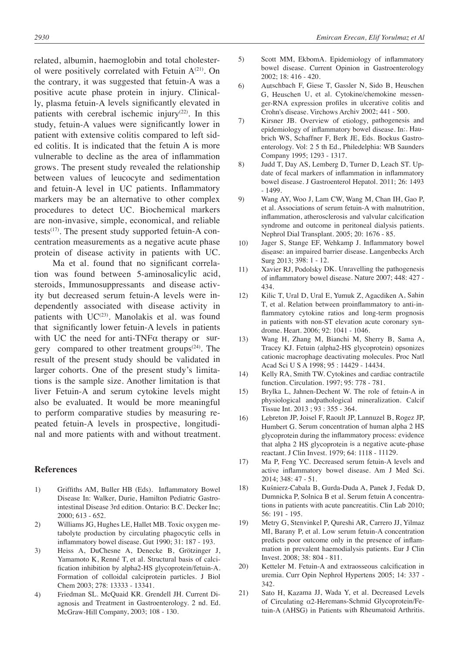related, albumin, haemoglobin and total cholesterol were positively correlated with Fetuin  $A^{(21)}$ . On the contrary, it was suggested that fetuin-A was a positive acute phase protein in injury. Clinically, plasma fetuin-A levels significantly elevated in patients with cerebral ischemic injury<sup>(22)</sup>. In this study, fetuin-A values were significantly lower in patient with extensive colitis compared to left sided colitis. It is indicated that the fetuin A is more vulnerable to decline as the area of inflammation grows. The present study revealed the relationship between values of leucocyte and sedimentation and fetuin-A level in UC patients. Inflammatory markers may be an alternative to other complex procedures to detect UC. Biochemical markers are non-invasive, simple, economical, and reliable tests $(17)$ . The present study supported fetuin-A concentration measurements as a negative acute phase protein of disease activity in patients with UC.

Ma et al. found that no significant correlation was found between 5-aminosalicylic acid, steroids, Immunosuppressants and disease activity but decreased serum fetuin-A levels were independently associated with disease activity in patients with UC<sup>(23)</sup>. Manolakis et al. was found that significantly lower fetuin-A levels in patients with UC the need for anti-TNF $\alpha$  therapy or surgery compared to other treatment groups<sup> $(24)$ </sup>. The result of the present study should be validated in larger cohorts. One of the present study's limitations is the sample size. Another limitation is that liver Fetuin-A and serum cytokine levels might also be evaluated. It would be more meaningful to perform comparative studies by measuring repeated fetuin-A levels in prospective, longitudinal and more patients with and without treatment.

### **References**

- 1) Griffiths AM, Buller HB (Eds). Inflammatory Bowel Disease In: Walker, Durie, Hamilton Pediatric Gastrointestinal Disease 3rd edition. Ontario: B.C. Decker Inc; 2000; 613 - 652.
- 2) Williams JG, Hughes LE, Hallet MB. Toxic oxygen metabolyte production by circulating phagocytic cells in inflammatory bowel disease. Gut 1990; 31: 187 - 193.
- 3) Heiss A, DuChesne A, Denecke B, Grötzinger J, Yamamoto K, Renné T, et al. Structural basis of calcification inhibition by alpha2-HS glycoprotein/fetuin-A. Formation of colloidal calciprotein particles. J Biol Chem 2003; 278: 13333 - 13341.
- 4) Friedman SL. McQuaid KR. Grendell JH. Current Diagnosis and Treatment in Gastroenterology. 2 nd. Ed. McGraw-Hill Company, 2003; 108 - 130.
- 5) Scott MM, EkbomA. Epidemiology of inflammatory bowel disease. Current Opinion in Gastroenterology 2002; 18: 416 - 420.
- 6) Autschbach F, Giese T, Gassler N, Sido B, Heuschen G, Heuschen U, et al. Cytokine/chemokine messenger-RNA expression profiles in ulcerative colitis and Crohn's disease. Virchows Archiv 2002; 441 - 500.
- 7) Kirsner JB. Overview of etiology, pathogenesis and epidemiology of inflammatory bowel disease. In:. Haubrich WS, Schaffner F, Berk JE, Eds. Bockus Gastroenterology. Vol: 2 5 th Ed., Philedelphia: WB Saunders Company 1995; 1293 - 1317.
- 8) Judd T, Day AS, Lemberg D, Turner D, Leach ST. Update of fecal markers of inflammation in inflammatory bowel disease. J Gastroenterol Hepatol. 2011; 26: 1493 - 1499.
- 9) Wang AY, Woo J, Lam CW, Wang M, Chan IH, Gao P, et al. Associations of serum fetuin-A with malnutrition, inflammation, atherosclerosis and valvular calcification syndrome and outcome in peritoneal dialysis patients. Nephrol Dial Transplant. 2005; 20: 1676 - 85.
- 10) Jager S, Stange EF, Wehkamp J. Inflammatory bowel disease: an impaired barrier disease. Langenbecks Arch Surg 2013; 398: 1 - 12.
- 11) Xavier RJ, Podolsky DK. Unravelling the pathogenesis of inflammatory bowel disease. Nature 2007; 448: 427 - 434.
- 12) Kilic T, Ural D, Ural E, Yumuk Z, Agacdiken A, Sahin T, et al. Relation between proinflammatory to anti-inflammatory cytokine ratios and long-term prognosis in patients with non-ST elevation acute coronary syndrome. Heart. 2006; 92: 1041 - 1046.
- 13) Wang H, Zhang M, Bianchi M, Sherry B, Sama A, Tracey KJ. Fetuin (alpha2-HS glycoprotein) opsonizes cationic macrophage deactivating molecules. Proc Natl Acad Sci U S A 1998; 95 : 14429 - 14434.
- 14) Kelly RA, Smith TW. Cytokines and cardiac contractile function. Circulation. 1997; 95: 778 - 781.
- 15) Brylka L, Jahnen-Dechent W. The role of fetuin-A in physiological andpathological mineralization. Calcif Tissue Int. 2013 ; 93 : 355 - 364.
- 16) Lebreton JP, Joisel F, Raoult JP, Lannuzel B, Rogez JP, Humbert G. Serum concentration of human alpha 2 HS glycoprotein during the inflammatory process: evidence that alpha 2 HS glycoprotein is a negative acute-phase reactant. J Clin Invest. 1979; 64: 1118 - 11129.
- 17) Ma P, Feng YC. Decreased serum fetuin-A levels and active inflammatory bowel disease. Am J Med Sci. 2014; 348: 47 - 51.
- 18) Kuśnierz-Cabala B, Gurda-Duda A, Panek J, Fedak D, Dumnicka P, Solnica B et al. Serum fetuin A concentrations in patients with acute pancreatitis. Clin Lab 2010; 56: 191 - 195.
- 19) Metry G, Stenvinkel P, Qureshi AR, Carrero JJ, Yilmaz MI, Barany P, et al. Low serum fetuin-A concentration predicts poor outcome only in the presence of inflammation in prevalent haemodialysis patients. Eur J Clin Invest. 2008; 38: 804 - 811.
- 20) Ketteler M. Fetuin-A and extraosseous calcification in uremia. Curr Opin Nephrol Hypertens 2005; 14: 337 - 342.
- 21) Sato H, Kazama JJ, Wada Y, et al. Decreased Levels of Circulating α2-Heremans-Schmid Glycoprotein/Fetuin-A (AHSG) in Patients with Rheumatoid Arthritis.